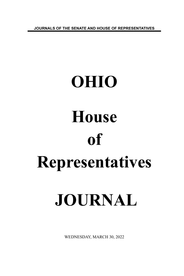**JOURNALS OF THE SENATE AND HOUSE OF REPRESENTATIVES**

# **OHIO House of Representatives JOURNAL**

WEDNESDAY, MARCH 30, 2022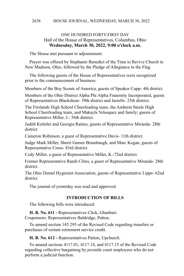# ONE HUNDRED FORTY-FIRST DAY Hall of the House of Representatives, Columbus, Ohio **Wednesday, March 30, 2022, 9:00 o'clock a.m.**

The House met pursuant to adjournment.

Prayer was offered by Stephanie Benedict of the Time to Revive Church in New Madison, Ohio, followed by the Pledge of Allegiance to the Flag.

The following guests of the House of Representatives were recognized prior to the commencement of business:

Members of the Boy Scouts of America, guests of Speaker Cupp- 4th district.

Members of the Ohio District Alpha Phi Alpha Fraternity Incorporated, guests of Representatives Blackshear- 39th district and Jarrells- 25th district.

The Firelands High School Cheerleading team, the Amherst Steele High School Cheerleading team, and Makayla Velasquez and family; guests of Representative Miller, J.- 56th district.

Judith Ketteler and Georgia Raines, guests of Representative Miranda- 28th district.

Cameron Robinson, a guest of Representative Davis- 11th district.

Judge Mark Miller, Sherri Garner Brumbaugh, and Marc Kogan, guests of Representative Cross- 83rd district.

Cody Miller, a guest of Representative Miller, K.-72nd district.

Former Representative Randi Clites, a guest of Representative Miranda- 28th district.

The Ohio Dental Hygienist Association, guests of Representative Lipps- 62nd district.

The journal of yesterday was read and approved.

# **INTRODUCTION OF BILLS**

The following bills were introduced:

**H. B. No. 611 -** Representatives Click, Ghanbari.

Cosponsors: Representatives Baldridge, Patton.

To amend section 145.295 of the Revised Code regarding transfers or purchases of certain retirement service credit.

**H. B. No. 612 -** Representatives Patton, Upchurch.

To amend sections 4117.01, 4117.14, and 4117.15 of the Revised Code regarding collective bargaining by juvenile court employees who do not perform a judicial function.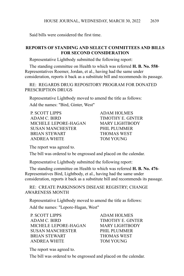Said bills were considered the first time.

# **REPORTS OF STANDING AND SELECT COMMITTEES AND BILLS FOR SECOND CONSIDERATION**

Representative Lightbody submitted the following report:

The standing committee on Health to which was referred **H. B. No. 558**- Representatives Roemer, Jordan, et al., having had the same under consideration, reports it back as a substitute bill and recommends its passage.

RE: REGARDS DRUG REPOSITORY PROGRAM FOR DONATED PRESCRIPTION DRUGS

Representative Lightbody moved to amend the title as follows:

Add the names: "Bird, Ginter, West"

| <b>P. SCOTT LIPPS</b>   |  |
|-------------------------|--|
| ADAM C. BIRD            |  |
| MICHELE LEPORE-HAGAN    |  |
| <b>SUSAN MANCHESTER</b> |  |
| <b>BRIAN STEWART</b>    |  |
| ANDREA WHITE            |  |

ADAM HOLMES **TIMOTHY E. GINTER** MARY LIGHTBODY PHIL PLUMMER **FHOMAS WEST** TOM YOUNG

The report was agreed to.

The bill was ordered to be engrossed and placed on the calendar.

Representative Lightbody submitted the following report:

The standing committee on Health to which was referred **H. B. No. 476**- Representatives Bird, Lightbody, et al., having had the same under consideration, reports it back as a substitute bill and recommends its passage.

RE: CREATE PARKINSON'S DISEASE REGISTRY; CHANGE AWARENESS MONTH

Representative Lightbody moved to amend the title as follows: Add the names: "Lepore-Hagan, West"

P. SCOTT LIPPS ADAM HOLMES ADAM C. BIRD TIMOTHY E. GINTER MICHELE LEPORE-HAGAN MARY LIGHTRODY SUSAN MANCHESTER PHIL PLUMMER BRIAN STEWART THOMAS WEST ANDREA WHITE TOM YOUNG

The report was agreed to.

The bill was ordered to be engrossed and placed on the calendar.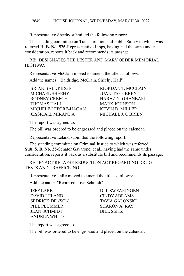Representative Sheehy submitted the following report:

The standing committee on Transportation and Public Safety to which was referred **H. B. No. 526**-Representative Lipps, having had the same under consideration, reports it back and recommends its passage.

RE: DESIGNATES THE LESTER AND MARY OEDER MEMORIAL **HIGHWAY** 

Representative McClain moved to amend the title as follows:

Add the names: "Baldridge, McClain, Sheehy, Hall"

BRIAN BALDRIDGE RIORDAN T. MCCLAIN MICHAEL SHEEHY JUANITA O. BRENT RODNEY CREECH HARAZ N. GHANBARI THOMAS HALL MARK JOHNSON MICHELE LEPORE-HAGAN KEVIN D. MILLER JESSICA E. MIRANDA MICHAEL J. O'BRIEN

The report was agreed to.

The bill was ordered to be engrossed and placed on the calendar.

Representative Leland submitted the following report:

The standing committee on Criminal Justice to which was referred **Sub. S. B. No. 25**-Senator Gavarone, et al., having had the same under consideration, reports it back as a substitute bill and recommends its passage.

RE: ENACT RELAPSE REDUCTION ACT REGARDING DRUG TESTS AND TRAFFICKING

Representative LaRe moved to amend the title as follows:

Add the name: "Representative Schmidt"

JEFF LARE D. J. SWEARINGEN DAVID LELAND CINDY ABRAMS SEDRICK DENSON TAVIA GALONSKI PHIL PLUMMER
SHARON A. RAY JEAN SCHMIDT BILL SEITZ ANDREA WHITE

The report was agreed to.

The bill was ordered to be engrossed and placed on the calendar.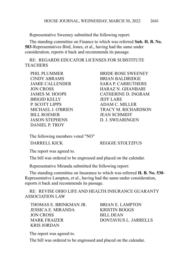Representative Sweeney submitted the following report:

The standing committee on Finance to which was referred **Sub. H. B. No. 583**-Representatives Bird, Jones, et al., having had the same under consideration, reports it back and recommends its passage.

RE: REGARDS EDUCATOR LICENSES FOR SUBSTITUTE **TEACHERS** 

CINDY ABRAMS BRIAN BALDRIDGE BRIGID KELLY JEFF LARE P. SCOTT LIPPS ADAM C. MILLER BILL ROEMER JEAN SCHMIDT JASON STEPHENS D. J. SWEARINGEN DANIEL P. TROY

PHIL PLUMMER BRIDE ROSE SWEENEY JAMIE CALLENDER SARA P. CARRUTHERS JON CROSS HARAZ N. GHANBARI JAMES M. HOOPS CATHERINE D. INGRAM MICHAEL J. O'BRIEN TRACY M. RICHARDSON

The following members voted "NO"

DARRELL KICK REGGIE STOLTZFUS

The report was agreed to.

The bill was ordered to be engrossed and placed on the calendar.

Representative Miranda submitted the following report:

The standing committee on Insurance to which was referred **H. B. No. 530**- Representative Lampton, et al., having had the same under consideration, reports it back and recommends its passage.

RE: REVISE OHIO LIFE AND HEALTH INSURANCE GUARANTY ASSOCIATION LAW

THOMAS E. BRINKMAN JR. BRIAN E. LAMPTON JESSICA E. MIRANDA KRISTIN BOGGS JON CROSS BILL DEAN MARK FRAIZER DONTAVIUS L. JARRELLS KRIS JORDAN

The report was agreed to.

The bill was ordered to be engrossed and placed on the calendar.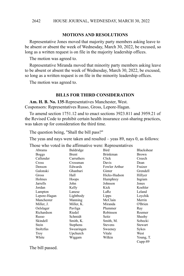# **MOTIONS AND RESOLUTIONS**

Representative Jones moved that majority party members asking leave to be absent or absent the week of Wednesday, March 30, 2022, be excused, so long as a written request is on file in the majority leadership offices.

The motion was agreed to.

Representative Miranda moved that minority party members asking leave to be absent or absent the week of Wednesday, March 30, 2022, be excused, so long as a written request is on file in the minority leadership offices.

The motion was agreed to.

## **BILLS FOR THIRD CONSIDERATION**

**Am. H. B. No. 135**-Representatives Manchester, West. Cosponsors: Representatives Russo, Gross, Lepore-Hagan.

To amend section 1751.12 and to enact sections 3923.811 and 3959.21 of the Revised Code to prohibit certain health insurance cost-sharing practices, was taken up for consideration the third time.

The question being, "Shall the bill pass?"

The yeas and nays were taken and resulted – yeas 89, nays 0, as follows:

Those who voted in the affirmative were: Representatives

| Abrams       | Baldridge  | Bird            | Blackshear   |
|--------------|------------|-----------------|--------------|
| <b>Boggs</b> | Brent      | <b>Brinkman</b> | <b>Brown</b> |
| Callender    | Carruthers | Click           | Creech       |
| Cross        | Crossman   | Davis           | Dean         |
| Denson       | Edwards    | Fowler Arthur   | Fraizer      |
| Galonski     | Ghanbari   | Ginter          | Grendell     |
| Gross        | Hall       | Hicks-Hudson    | Hillyer      |
| Holmes       | Hoops      | Humphrey        | Ingram       |
| Jarrells     | John       | Johnson         | Jones        |
| Jordan       | Kelly      | Kick            | Koehler      |
| Lampton      | Lanese     | LaRe            | Leland       |
| Lepore-Hagan | Lightbody  | Lipps           | Loychik      |
| Manchester   | Manning    | McClain         | Merrin       |
| Miller, J.   | Miller, K. | Miranda         | O'Brien      |
| Oelslager    | Pavliga    | Plummer         | Ray          |
| Richardson   | Riedel     | Robinson        | Roemer       |
| Russo        | Schmidt    | Seitz           | Sheehy       |
| Skindell     | Smith, K.  | Smith, M.       | Sobecki      |
| Stein        | Stephens   | <b>Stevens</b>  | Stewart      |
| Stoltzfus    | Swearingen | Sweeney         | Sykes        |
| Troy         | Upchurch   | Vitale          | West         |
| White        | Wiggam     | Wilkin          | Young, T.    |
|              |            |                 | $Cupp-89$    |
|              |            |                 |              |

The bill passed.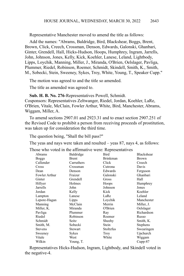Representative Manchester moved to amend the title as follows:

Add the names: "Abrams, Baldridge, Bird, Blackshear, Boggs, Brent, Brown, Click, Creech, Crossman, Denson, Edwards, Galonski, Ghanbari, Ginter, Grendell, Hall, Hicks-Hudson, Hoops, Humphrey, Ingram, Jarrells, John, Johnson, Jones, Kelly, Kick, Koehler, Lanese, Leland, Lightbody, Lipps, Loychik, Manning, Miller, J., Miranda, O'Brien, Oelslager, Pavliga, Plummer, Riedel, Robinson, Roemer, Schmidt, Skindell, Smith, K., Smith, M., Sobecki, Stein, Sweeney, Sykes, Troy, White, Young, T., Speaker Cupp."

The motion was agreed to and the title so amended.

The title as amended was agreed to.

**Sub. H. B. No. 276**-Representatives Powell, Schmidt. Cosponsors: Representatives Zeltwanger, Riedel, Jordan, Koehler, LaRe, O'Brien, Vitale, McClain, Fowler Arthur, White, Bird, Manchester, Abrams, Wiggam, Miller, A.

To amend sections 2907.01 and 2923.31 and to enact section 2907.251 of the Revised Code to prohibit a person from receiving proceeds of prostitution, was taken up for consideration the third time.

The question being, "Shall the bill pass?"

The yeas and nays were taken and resulted – yeas 87, nays 4, as follows:

Those who voted in the affirmative were: Representatives

| Abrams        | Baldridge    | Bird            | Blackshear   |
|---------------|--------------|-----------------|--------------|
| <b>Boggs</b>  | <b>Brent</b> | <b>Brinkman</b> | <b>Brown</b> |
| Callender     | Carruthers   | Click           | Creech       |
| Cross         | Crossman     | Cutrona         | Davis        |
| Dean          | Denson       | Edwards         | Ferguson     |
| Fowler Arthur | Fraizer      | Galonski        | Ghanbari     |
| Ginter        | Grendell     | Gross           | Hall         |
| Hillyer       | Holmes       | Hoops           | Humphrey     |
| Jarrells      | John         | Johnson         | Jones        |
| Jordan        | Kelly        | Kick            | Koehler      |
| Lampton       | Lanese       | LaRe            | Leland       |
| Lepore-Hagan  | Lipps        | Loychik         | Manchester   |
| Manning       | McClain      | Merrin          | Miller, J.   |
| Miller, K.    | Miranda      | O'Brien         | Oelslager    |
| Pavliga       | Plummer      | Ray             | Richardson   |
| Riedel        | Robinson     | Roemer          | Russo        |
| Schmidt       | Seitz        | Sheehy          | Smith, K.    |
| Smith, M.     | Sobecki      | Stein           | Stephens     |
| Stevens       | Stewart      | Stoltzfus       | Swearingen   |
| Sweeney       | Sykes        | Troy            | Upchurch     |
| Vitale        | West         | White           | Wiggam       |
| Wilkin        | Young, T.    |                 | $Cupp-87$    |
|               |              |                 |              |

Representatives Hicks-Hudson, Ingram, Lightbody, and Skindell voted in the negative-4.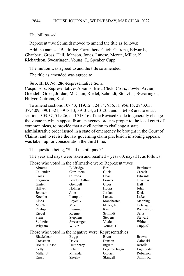The bill passed.

Representative Schmidt moved to amend the title as follows:

Add the names: "Baldridge, Carruthers, Click, Cutrona, Edwards, Ghanbari, Gross, Hall, Johnson, Jones, Lanese, Merrin, Miller, K., Richardson, Swearingen, Young, T., Speaker Cupp."

The motion was agreed to and the title so amended.

The title as amended was agreed to.

## **Sub. H. B. No. 286**-Representative Seitz.

Cosponsors: Representatives Abrams, Bird, Click, Cross, Fowler Arthur, Grendell, Gross, Jordan, McClain, Riedel, Schmidt, Stoltzfus, Swearingen, Hillyer, Cutrona, Kick.

To amend sections 107.43, 119.12, 124.34, 956.11, 956.15, 2743.03, 3794.09, 3901.321, 3913.13, 3913.23, 5101.35, and 5164.38 and to enact sections 303.57, 519.26, and 713.16 of the Revised Code to generally change the venue in which appeal from an agency order is proper to the local court of common pleas, to provide that a civil action to challenge a state administrative order issued in a state of emergency be brought in the Court of Claims, and to revise the law governing claim preclusion in zoning appeals, was taken up for consideration the third time.

The question being, "Shall the bill pass?"

The yeas and nays were taken and resulted – yeas 60, nays 31, as follows:

| Abrams                                                | Baldridge     | Bird           | <b>Brinkman</b> |
|-------------------------------------------------------|---------------|----------------|-----------------|
| Callender                                             | Carruthers    | Click          | Creech          |
| Cross                                                 | Cutrona       | Dean           | Edwards         |
| Ferguson                                              | Fowler Arthur | Fraizer        | Ghanbari        |
| Ginter                                                | Grendell      | Gross          | Hall            |
| Hillyer                                               | Holmes        | Hoops          | John            |
| Johnson                                               | Jones         | Jordan         | Kick            |
| Koehler                                               | Lampton       | Lanese         | LaRe            |
| Lipps                                                 | Loychik       | Manchester     | Manning         |
| McClain                                               | Merrin        | Miller, K.     | Oelslager       |
| Pavliga                                               | Plummer       | Ray            | Richardson      |
| Riedel                                                | Roemer        | Schmidt        | Seitz           |
| Stein                                                 | Stephens      | <b>Stevens</b> | Stewart         |
| Stoltzfus                                             | Swearingen    | Vitale         | White           |
| Wiggam                                                | Wilkin        | Young, T.      | $Cupp-60$       |
| Those who voted in the negative were: Representatives |               |                |                 |
| Blackshear                                            | <b>Boggs</b>  | <b>Brent</b>   | <b>Brown</b>    |
| Crossman                                              | Davis         | Denson         | Galonski        |
| Hicks-Hudson                                          | Humphrey      | Ingram         | Jarrells        |
| Kelly                                                 | Leland        | Lepore-Hagan   | Lightbody       |
| Miller, J.                                            | Miranda       | O'Brien        | Robinson        |
| Russo                                                 | Sheehy        | Skindell       | Smith, K.       |
|                                                       |               |                |                 |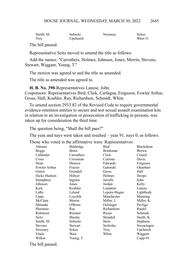| Smith, M. | Sobecki  | Sweeney | Sykes   |
|-----------|----------|---------|---------|
| Troy      | Upchurch |         | West-31 |

The bill passed.

Representative Seitz moved to amend the title as follows:

Add the names: "Carruthers, Holmes, Johnson, Jones, Merrin, Stevens, Stewart, Wiggam, Young, T."

The motion was agreed to and the title so amended.

The title as amended was agreed to.

**H. B. No. 390**-Representatives Lanese, John.

Cosponsors: Representatives Bird, Click, Carfagna, Ferguson, Fowler Arthur, Gross, Hall, Koehler, Ray, Richardson, Schmidt, White.

To amend section 2933.82 of the Revised Code to require governmental evidence-retention entities to secure and test sexual assault examination kits in relation to an investigation or prosecution of trafficking in persons, was taken up for consideration the third time.

The question being, "Shall the bill pass?"

The yeas and nays were taken and resulted – yeas 91, nays 0, as follows:

Those who voted in the affirmative were: Representatives

| Abrams         | Baldridge  | Bird            | <b>Blackshear</b> |
|----------------|------------|-----------------|-------------------|
| <b>Boggs</b>   | Brent      | <b>Brinkman</b> | <b>Brown</b>      |
| Callender      | Carruthers | Click           | Creech            |
| Cross          | Crossman   | Cutrona         | Davis             |
| Dean           | Denson     | Edwards         | Ferguson          |
| Fowler Arthur  | Fraizer    | Galonski        | Ghanbari          |
| Ginter         | Grendell   | Gross           | Hall              |
| Hicks-Hudson   | Hillyer    | Holmes          | Hoops             |
| Humphrey       | Ingram     | Jarrells        | John              |
| Johnson        | Jones      | Jordan          | Kelly             |
| Kick           | Koehler    | Lampton         | Lanese            |
| LaRe           | Leland     | Lepore-Hagan    | Lightbody         |
| Lipps          | Loychik    | Manchester      | Manning           |
| McClain        | Merrin     | Miller, J.      | Miller, K.        |
| Miranda        | O'Brien    | Oelslager       | Pavliga           |
| Plummer        | Ray        | Richardson      | Riedel            |
| Robinson       | Roemer     | Russo           | Schmidt           |
| Seitz          | Sheehy     | Skindell        | Smith, K.         |
| Smith, M.      | Sobecki    | Stein           | Stephens          |
| <b>Stevens</b> | Stewart    | Stoltzfus       | Swearingen        |
| Sweeney        | Sykes      | Troy            | Upchurch          |
| Vitale         | West       | White           | Wiggam            |
| Wilkin         | Young, T.  |                 | $Cupp-91$         |
|                |            |                 |                   |

The bill passed.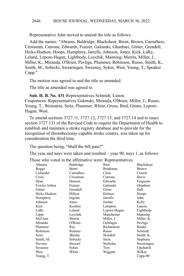Representative John moved to amend the title as follows:

Add the names: "Abrams, Baldridge, Blackshear, Brent, Brown, Carruthers, Crossman, Cutrona, Edwards, Fraizer, Galonski, Ghanbari, Ginter, Grendell, Hicks-Hudson, Hoops, Humphrey, Jarrells, Johnson, Jones, Kick, LaRe, Leland, Lepore-Hagan, Lightbody, Loychik, Manning, Merrin, Miller, J., Miller, K., Miranda, O'Brien, Pavliga, Plummer, Robinson, Russo, Smith, K., Smith, M., Sobecki, Swearingen, Sweeney, Sykes, West, Young, T., Speaker Cupp."

The motion was agreed to and the title so amended.

The title as amended was agreed to.

**Sub. H. B. No. 431**-Representatives Schmidt, Liston. Cosponsors: Representatives Galonski, Miranda, O'Brien, Miller, J., Russo, Young, T., Weinstein, Seitz, Plummer, White, Gross, Bird, Ginter, Lepore-Hagan, West.

To amend sections 3727.11, 3727.12, 3727.13, and 3727.14 and to enact section 3727.131 of the Revised Code to require the Department of Health to establish and maintain a stroke registry database and to provide for the recognition of thrombectomy-capable stroke centers, was taken up for consideration the third time.

The question being, "Shall the bill pass?"

The yeas and nays were taken and resulted – yeas 90, nays 1, as follows:

| Abrams         | Baldridge  | Bird         | Blackshear   |
|----------------|------------|--------------|--------------|
| <b>Boggs</b>   | Brent      | Brinkman     | <b>Brown</b> |
| Callender      | Carruthers | Click        | Creech       |
| Cross          | Crossman   | Cutrona      | Davis        |
| Dean           | Denson     | Edwards      | Ferguson     |
| Fowler Arthur  | Fraizer    | Galonski     | Ghanbari     |
| Ginter         | Grendell   | Gross        | Hall         |
| Hicks-Hudson   | Hillyer    | Holmes       | Hoops        |
| Humphrey       | Ingram     | Jarrells     | John         |
| Johnson        | Jones      | Jordan       | Kelly        |
| Kick           | Koehler    | Lampton      | Lanese       |
| LaRe           | Leland     | Lepore-Hagan | Lightbody    |
| Lipps          | Loychik    | Manchester   | Manning      |
| McClain        | Merrin     | Miller, J.   | Miller, K.   |
| Miranda        | O'Brien    | Oelslager    | Pavliga      |
| Plummer        | Ray        | Richardson   | Riedel       |
| Robinson       | Roemer     | Russo        | Schmidt      |
| Seitz          | Sheehy     | Skindell     | Smith, K.    |
| Smith, M.      | Sobecki    | Stein        | Stephens     |
| <b>Stevens</b> | Stewart    | Stoltzfus    | Swearingen   |
| Sweeney        | Sykes      | Troy         | Upchurch     |
| West           | White      | Wiggam       | Wilkin       |
| Young, T.      |            |              | $Cupp-90$    |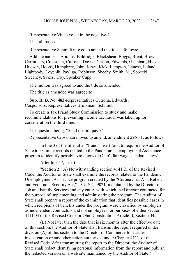Representative Vitale voted in the negative-1. The bill passed.

Representative Schmidt moved to amend the title as follows:

Add the names: "Abrams, Baldridge, Blackshear, Boggs, Brent, Brown, Carruthers, Crossman, Cutrona, Davis, Denson, Edwards, Ghanbari, Hicks-Hudson, Hoops, Humphrey, John, Jones, Kick, Lampton, Lanese, Leland, Lightbody, Loychik, Pavliga, Robinson, Sheehy, Smith, M., Sobecki, Sweeney, Sykes, Troy, Speaker Cupp."

The motion was agreed to and the title so amended.

The title as amended was agreed to.

**Sub. H. B. No. 482**-Representatives Cutrona, Edwards. Cosponsors: Representatives Brinkman, Schmidt.

To create a Tax Fraud Study Commission to study and make recommendations for preventing income tax fraud, was taken up for consideration the third time.

The question being, "Shall the bill pass?"

Representative Crossman moved to amend, amendment 2961-1, as follows:

In line 3 of the title, after "fraud" insert "and to require the Auditor of State to examine records related to the Pandemic Unemployment Assistance program to identify possible violations of Ohio's fair wage standards laws"

After line 47, insert:

"**Section 2.** (A) Notwithstanding section 4141.21 of the Revised Code, the Auditor of State shall examine the records related to the Pandemic Unemployment Assistance program created by the "Coronavirus Aid, Relief, and Economic Security Act," 15 U.S.C. 9021, maintained by the Director of Job and Family Services and any entity with which the Director contracted for the purpose of implementing and administering the program. The Auditor of State shall prepare a report of the examination that identifies possible cases in which recipients of benefits under the program were classified by employers as independent contractors and not employees for purposes of either section 4111.03 of the Revised Code or Ohio Constitution, Article II, Section 34a.

(B) Not later than the date that is six months after the effective date of this section, the Auditor of State shall transmit the report required under division (A) of this section to the Director of Commerce for further investigation or any other action authorized under Chapter 4111. of the Revised Code. After transmitting the report to the Director, the Auditor of State shall redact identifying personal information from the report and publish the redacted version on a web site maintained by the Auditor of State."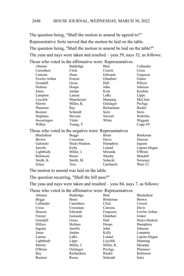The question being, "Shall the motion to amend be agreed to?" Representative Seitz moved that the motion be laid on the table. The question being, "Shall the motion to amend be laid on the table?" The yeas and nays were taken and resulted – yeas 59, nays 32, as follows: Those who voted in the affirmative were: Representatives

| Abrams                                                | Baldridge         | Bird         | Callender       |
|-------------------------------------------------------|-------------------|--------------|-----------------|
| Carruthers                                            | Click             | Creech       | Cross           |
| Cutrona                                               | Dean              | Edwards      | Ferguson        |
| Fowler Arthur                                         | Fraizer           | Ghanbari     | Ginter          |
| Grendell                                              | Gross             | Hall         | Hillyer         |
| Holmes                                                | Hoops             | John         | Johnson         |
| Jones                                                 | Jordan            | Kick         | Koehler         |
| Lampton                                               | Lanese            | LaRe         | Lipps           |
| Loychik                                               | Manchester        | Manning      | McClain         |
| Merrin                                                | Miller, K.        | Oelslager    | Pavliga         |
| Plummer                                               | Ray               | Richardson   | Riedel          |
| Roemer                                                | Schmidt           | <b>Seitz</b> | Stein           |
| <b>Stephens</b>                                       | <b>Stevens</b>    | Stewart      | Stoltzfus       |
| Swearingen                                            | Vitale            | White        | Wiggam          |
| Wilkin                                                | Young, T.         |              | $Cupp-59$       |
| Those who voted in the negative were: Representatives |                   |              |                 |
| Blackshear                                            | <b>Boggs</b>      | <b>Brent</b> | <b>Brinkman</b> |
| $D_{\text{r} \alpha \nu m}$                           | $C_{\rm rocomon}$ | Dovic        | Doncon          |

| Blackshear   | <b>Boggs</b> | Brent    | Brinkman     |
|--------------|--------------|----------|--------------|
| <b>Brown</b> | Crossman     | Davis    | Denson       |
| Galonski     | Hicks-Hudson | Humphrey | Ingram       |
| Jarrells     | Kelly        | Leland   | Lepore-Hagan |
| Lightbody    | Miller, J.   | Miranda  | O'Brien      |
| Robinson     | Russo        | Sheehy   | Skindell     |
| Smith, K.    | Smith, M.    | Sobecki  | Sweeney      |
| <b>Sykes</b> | Trov         | Upchurch | West-32      |
|              |              |          |              |

The motion to amend was laid on the table.

The question recurring, "Shall the bill pass?"

The yeas and nays were taken and resulted – yeas 84, nays 7, as follows:

| Abrams       | Baldridge    | Bird            | Blackshear    |
|--------------|--------------|-----------------|---------------|
| <b>Boggs</b> | <b>Brent</b> | <b>Brinkman</b> | <b>Brown</b>  |
| Callender    | Carruthers   | Click           | Creech        |
| Cross        | Crossman     | Cutrona         | Davis         |
| Denson       | Edwards      | Ferguson        | Fowler Arthur |
| Fraizer      | Galonski     | Ghanbari        | Ginter        |
| Grendell     | Gross        | Hall            | Hicks-Hudson  |
| Hillyer      | Holmes       | Hoops           | Humphrey      |
| Ingram       | Jarrells     | John            | Johnson       |
| Jones        | Jordan       | Kelly           | Lampton       |
| Lanese       | LaRe         | Leland          | Lepore-Hagan  |
| Lightbody    | Lipps        | Loychik         | Manning       |
| Merrin       | Miller, J.   | Miller, K.      | Miranda       |
| O'Brien      | Oelslager    | Pavliga         | Plummer       |
| Ray          | Richardson   | Riedel          | Robinson      |
| Roemer       | Russo        | Schmidt         | Seitz         |
|              |              |                 |               |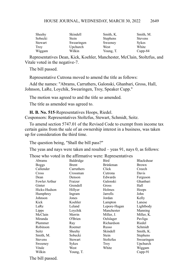| Sheehy  | Skindell   | Smith, K.       | Smith, M.      |
|---------|------------|-----------------|----------------|
| Sobecki | Stein      | <b>Stephens</b> | <b>Stevens</b> |
| Stewart | Swearingen | Sweeney         | <b>Sykes</b>   |
| Troy    | Upchurch   | West            | White          |
| Wiggam  | Wilkin     | Young, T.       | $Cupp-84$      |

Representatives Dean, Kick, Koehler, Manchester, McClain, Stoltzfus, and Vitale voted in the negative-7.

The bill passed.

Representative Cutrona moved to amend the title as follows:

Add the names: "Abrams, Carruthers, Galonski, Ghanbari, Gross, Hall, Johnson, LaRe, Loychik, Swearingen, Troy, Speaker Cupp."

The motion was agreed to and the title so amended.

The title as amended was agreed to.

**H. B. No. 515**-Representatives Hoops, Riedel. Cosponsors: Representatives Stoltzfus, Stewart, Schmidt, Seitz.

To amend section 5747.01 of the Revised Code to exempt from income tax certain gains from the sale of an ownership interest in a business, was taken up for consideration the third time.

The question being, "Shall the bill pass?"

The yeas and nays were taken and resulted – yeas 91, nays 0, as follows:

Those who voted in the affirmative were: Representatives

| Abrams         | Baldridge  | Bird            | Blackshear   |
|----------------|------------|-----------------|--------------|
| <b>Boggs</b>   | Brent      | <b>Brinkman</b> | <b>Brown</b> |
| Callender      | Carruthers | Click           | Creech       |
| Cross          | Crossman   | Cutrona         | Davis        |
| Dean           | Denson     | Edwards         | Ferguson     |
| Fowler Arthur  | Fraizer    | Galonski        | Ghanbari     |
| Ginter         | Grendell   | Gross           | Hall         |
| Hicks-Hudson   | Hillyer    | Holmes          | Hoops        |
| Humphrey       | Ingram     | Jarrells        | John         |
| Johnson        | Jones      | Jordan          | Kelly        |
| Kick           | Koehler    | Lampton         | Lanese       |
| LaRe           | Leland     | Lepore-Hagan    | Lightbody    |
| Lipps          | Loychik    | Manchester      | Manning      |
| McClain        | Merrin     | Miller, J.      | Miller, K.   |
| Miranda        | O'Brien    | Oelslager       | Pavliga      |
| Plummer        | Ray        | Richardson      | Riedel       |
| Robinson       | Roemer     | Russo           | Schmidt      |
| Seitz          | Sheehy     | Skindell        | Smith, K.    |
| Smith, M.      | Sobecki    | Stein           | Stephens     |
| <b>Stevens</b> | Stewart    | Stoltzfus       | Swearingen   |
| Sweeney        | Sykes      | Troy            | Upchurch     |
| Vitale         | West       | White           | Wiggam       |
| Wilkin         | Young, T.  |                 | $Cupp-91$    |
|                |            |                 |              |

The bill passed.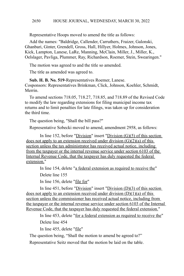Representative Hoops moved to amend the title as follows:

Add the names: "Baldridge, Callender, Carruthers, Fraizer, Galonski, Ghanbari, Ginter, Grendell, Gross, Hall, Hillyer, Holmes, Johnson, Jones, Kick, Lampton, Lanese, LaRe, Manning, McClain, Miller, J., Miller, K., Oelslager, Pavliga, Plummer, Ray, Richardson, Roemer, Stein, Swearingen."

The motion was agreed to and the title so amended.

The title as amended was agreed to.

**Sub. H. B. No. 519**-Representatives Roemer, Lanese. Cosponsors: Representatives Brinkman, Click, Johnson, Koehler, Schmidt, Merrin.

To amend sections 718.05, 718.27, 718.85, and 718.89 of the Revised Code to modify the law regarding extensions for filing municipal income tax returns and to limit penalties for late filings, was taken up for consideration the third time.

The question being, "Shall the bill pass?"

Representative Sobecki moved to amend, amendment 2958, as follows:

In line 152, before " $Division$ " insert " $Division$  (G)(5) of this section does not apply to an extension received under division  $(G)(2)(a)$  of this section unless the tax administrator has received actual notice, including from the taxpayer or the internal revenue service under section 6103 of the Internal Revenue Code, that the taxpayer has duly requested the federal extension."

In line 154, delete "a federal extension as required to receive the"

Delete line 155

In line 156, delete "file for"

In line 451, before "Division" insert "Division (D)(3) of this section does not apply to an extension received under division  $(D)(1)(a)$  of this section unless the commissioner has received actual notice, including from the taxpayer or the internal revenue service under section 6103 of the Internal Revenue Code, that the taxpayer has duly requested the federal extension."

In line 453, delete "for a federal extension as required to receive the" Delete line 454

In line 455, delete "file"

The question being, "Shall the motion to amend be agreed to?"

Representative Seitz moved that the motion be laid on the table.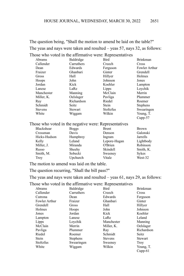The question being, "Shall the motion to amend be laid on the table?" The yeas and nays were taken and resulted – yeas 57, nays 32, as follows: Those who voted in the affirmative were: Representatives

| Abrams         | Baldridge      | Bird         | <b>Brinkman</b> |
|----------------|----------------|--------------|-----------------|
| Callender      | Carruthers     | Creech       | Cross           |
| Dean           | Edwards        | Ferguson     | Fowler Arthur   |
| Fraizer        | Ghanbari       | Ginter       | Grendell        |
| Gross          | Hall           | Hillyer      | Holmes          |
| Hoops          | John           | Johnson      | Jones           |
| Jordan         | Kick           | Koehler      | Lampton         |
| Lanese         | LaRe           | Lipps        | Loychik         |
| Manchester     | Manning        | McClain      | Merrin          |
| Miller, K.     | Oelslager      | Pavliga      | Plummer         |
| Ray            | Richardson     | Riedel       | Roemer          |
| Schmidt        | Seitz          | Stein        | <b>Stephens</b> |
| <b>Stevens</b> | <b>Stewart</b> | Stoltzfus    | Swearingen      |
| White          | Wiggam         | Wilkin       | Young, T.       |
|                |                |              | $Cupp-57$       |
|                |                | $\mathbf{r}$ |                 |

## Those who voted in the negative were: Representatives

| <b>Blackshear</b> | <b>Boggs</b> | <b>Brent</b> | <b>Brown</b> |
|-------------------|--------------|--------------|--------------|
| Crossman          | Davis        | Denson       | Galonski     |
| Hicks-Hudson      | Humphrey     | Ingram       | Jarrells     |
| Kelly             | Leland       | Lepore-Hagan | Lightbody    |
| Miller, J.        | Miranda      | O'Brien      | Robinson     |
| Russo             | Sheehy       | Skindell     | Smith, K.    |
| Smith, M.         | Sobecki      | Sweeney      | <b>Sykes</b> |
| <b>Troy</b>       | Upchurch     | Vitale       | West-32      |

The motion to amend was laid on the table.

The question recurring, "Shall the bill pass?"

The yeas and nays were taken and resulted – yeas 61, nays 29, as follows:

| Abrams               | Baldridge       | Bird           | <b>Brinkman</b> |
|----------------------|-----------------|----------------|-----------------|
| Callender            | Carruthers      | Creech         | Cross           |
| Cutrona              | Dean            | Edwards        | Ferguson        |
| <b>Fowler Arthur</b> | Fraizer         | Ghanbari       | Ginter          |
| Grendell             | Gross           | Hall           | Hillyer         |
| Holmes               | Hoops           | John           | Johnson         |
| Jones                | Jordan          | Kick           | Koehler         |
| Lampton              | Lanese          | LaRe           | Leland          |
| Lipps                | Loychik         | Manchester     | Manning         |
| McClain              | Merrin          | Miller, K.     | Oelslager       |
| Pavliga              | Plummer         | Ray            | Richardson      |
| Riedel               | Roemer          | Schmidt        | Seitz           |
| Stein                | <b>Stephens</b> | <b>Stevens</b> | Stewart         |
| Stoltzfus            | Swearingen      | Sweeney        | <b>Troy</b>     |
| White                | Wiggam          | Wilkin         | Young, T.       |
|                      |                 |                | $C$ upp-61      |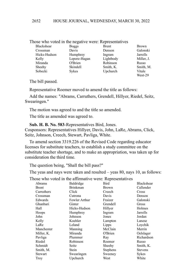### Those who voted in the negative were: Representatives

| Blackshear   | <b>Boggs</b> | <b>Brent</b> | <b>Brown</b> |
|--------------|--------------|--------------|--------------|
| Crossman     | Davis        | Denson       | Galons       |
| Hicks-Hudson | Humphrey     | Ingram       | Jarrells     |
| Kelly        | Lepore-Hagan | Lightbody    | Miller,      |
| Miranda      | O'Brien      | Robinson     | Russo        |
| Sheehy       | Skindell     | Smith, K.    | Smith,       |
| Sobecki      | <b>Sykes</b> | Upchurch     | Vitale       |
|              |              |              |              |

Denson Galonski e-Hagan Lightbody Miller, J. ell Smith, K. Smith, M. Upchurch Vitale West-29

The bill passed.

Representative Roemer moved to amend the title as follows:

Add the names: "Abrams, Carruthers, Grendell, Hillyer, Riedel, Seitz, Swearingen."

The motion was agreed to and the title so amended.

The title as amended was agreed to.

**Sub. H. B. No. 583**-Representatives Bird, Jones.

Cosponsors: Representatives Hillyer, Davis, John, LaRe, Abrams, Click, Seitz, Johnson, Creech, Stewart, Pavliga, White.

To amend section 3319.226 of the Revised Code regarding educator licenses for substitute teachers, to establish a study committee on the substitute teacher shortage, and to make an appropriation, was taken up for consideration the third time.

The question being, "Shall the bill pass?"

The yeas and nays were taken and resulted – yeas 80, nays 10, as follows:

| Abrams       | Baldridge     | Bird            | Blackshear     |
|--------------|---------------|-----------------|----------------|
| <b>Brent</b> | Brinkman      | Brown           | Callender      |
| Carruthers   | Click         | Creech          | Cross          |
| Crossman     | Cutrona       | Davis           | Denson         |
| Edwards      | Fowler Arthur | Fraizer         | Galonski       |
| Ghanbari     | Ginter        | Grendell        | Gross          |
| Hall         | Hicks-Hudson  | Hillyer         | Holmes         |
| Hoops        | Humphrey      | Ingram          | Jarrells       |
| John         | Johnson       | Jones           | Jordan         |
| Kelly        | Koehler       | Lampton         | Lanese         |
| LaRe         | Leland        | Lipps           | Loychik        |
| Manchester   | Manning       | McClain         | Merrin         |
| Miller, K.   | Miranda       | O'Brien         | Oelslager      |
| Pavliga      | Plummer       | Ray             | Richardson     |
| Riedel       | Robinson      | Roemer          | Russo          |
| Schmidt      | Seitz         | Sheehy          | Smith, K.      |
| Smith, M.    | Stein         | <b>Stephens</b> | <b>Stevens</b> |
| Stewart      | Swearingen    | Sweeney         | Sykes          |
| Troy         | Upchurch      | West            | White          |
|              |               |                 |                |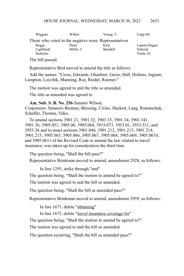| Wiggam                                                | Wilkin     | Young, T. | $Cupp-80$    |  |
|-------------------------------------------------------|------------|-----------|--------------|--|
| Those who voted in the negative were: Representatives |            |           |              |  |
| <b>Boggs</b>                                          | Dean       | Kick      | Lepore-Hagan |  |
| Lightbody                                             | Miller, J. | Skindell  | Sobecki      |  |
| Stoltzfus                                             |            |           | Vitale-10    |  |

The bill passed.

Representative Bird moved to amend the title as follows:

Add the names: "Cross, Edwards, Ghanbari, Gross, Hall, Holmes, Ingram, Lampton, Loychik, Manning, Ray, Riedel, Roemer."

The motion was agreed to and the title so amended.

The title as amended was agreed to.

**Am. Sub. S. B. No. 256**-Senator Wilson.

Cosponsors: Senators Brenner, Blessing, Cirino, Hackett, Lang, Romanchuk, Schaffer, Thomas, Yuko.

To amend sections 3901.21, 3901.32, 3901.33, 3901.34, 3901.341, 3901.36, 3905.051, 3905.06, 3905.064, 3915.073, 3953.01, 3953.331, and 3953.36 and to enact sections 3901.046, 3901.212, 3901.213, 3901.214, 3901.215, 3905.065, 3905.066, 3905.067, 3905.068, 3905.069, 3905.0610, and 3905.0611 of the Revised Code to amend the law related to travel insurance, was taken up for consideration the third time.

The question being, "Shall the bill pass?"

Representative Brinkman moved to amend, amendment 2928, as follows:

In line 1295, strike through "and"

The question being, "Shall the motion to amend be agreed to?"

The motion was agreed to and the bill so amended.

The question being, "Shall the bill as amended pass?"

Representative Brinkman moved to amend, amendment 2959, as follows:

In line 1671, delete "obtaining"

In line 1672, delete "travel insurance coverage for"

The question being, "Shall the motion to amend be agreed to?"

The motion was agreed to and the bill so amended.

The question recurring, "Shall the bill as amended pass?"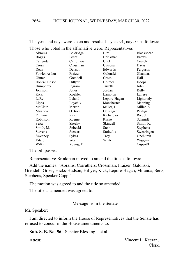|                      |              | Those who voted in the affirmative were: Representatives |                   |
|----------------------|--------------|----------------------------------------------------------|-------------------|
| Abrams               | Baldridge    | Bird                                                     | <b>Blackshear</b> |
| <b>Boggs</b>         | <b>Brent</b> | <b>Brinkman</b>                                          | <b>Brown</b>      |
| Callender            | Carruthers   | Click                                                    | Creech            |
| Cross                | Crossman     | Cutrona                                                  | Davis             |
| Dean                 | Denson       | Edwards                                                  | Ferguson          |
| <b>Fowler Arthur</b> | Fraizer      | Galonski                                                 | Ghanbari          |
| Ginter               | Grendell     | Gross                                                    | Hall              |
| Hicks-Hudson         | Hillyer      | Holmes                                                   | Hoops             |
| Humphrey             | Ingram       | <b>Jarrells</b>                                          | John              |
| Johnson              | Jones        | Jordan                                                   | Kelly             |
| Kick                 | Koehler      | Lampton                                                  | Lanese            |
| LaRe                 | Leland       | Lepore-Hagan                                             | Lightbody         |
| Lipps                | Loychik      | Manchester                                               | Manning           |
| McClain              | Merrin       | Miller, J.                                               | Miller, K.        |
| Miranda              | O'Brien      | Oelslager                                                | Pavliga           |
| Plummer              | Ray          | Richardson                                               | Riedel            |
| Robinson             | Roemer       | Russo                                                    | Schmidt           |
| Seitz                | Sheehy       | Skindell                                                 | Smith, K.         |
| Smith, M.            | Sobecki      | Stein                                                    | <b>Stephens</b>   |
| <b>Stevens</b>       | Stewart      | Stoltzfus                                                | Swearingen        |
| Sweeney              | Sykes        | Troy                                                     | Upchurch          |
| Vitale               | West         | White                                                    | Wiggam            |
| Wilkin               | Young, T.    |                                                          | $Cupp-91$         |

The yeas and nays were taken and resulted – yeas 91, nays 0, as follows:

The bill passed.

Representative Brinkman moved to amend the title as follows:

Add the names: "Abrams, Carruthers, Crossman, Fraizer, Galonski, Grendell, Gross, Hicks-Hudson, Hillyer, Kick, Lepore-Hagan, Miranda, Seitz, Stephens, Speaker Cupp."

The motion was agreed to and the title so amended.

The title as amended was agreed to.

## Message from the Senate

Mr. Speaker:

I am directed to inform the House of Representatives that the Senate has refused to concur in the House amendments to:

**Sub. S. B. No. 56** - Senator Blessing – et al.

Attest: Vincent L. Keeran, Clerk.